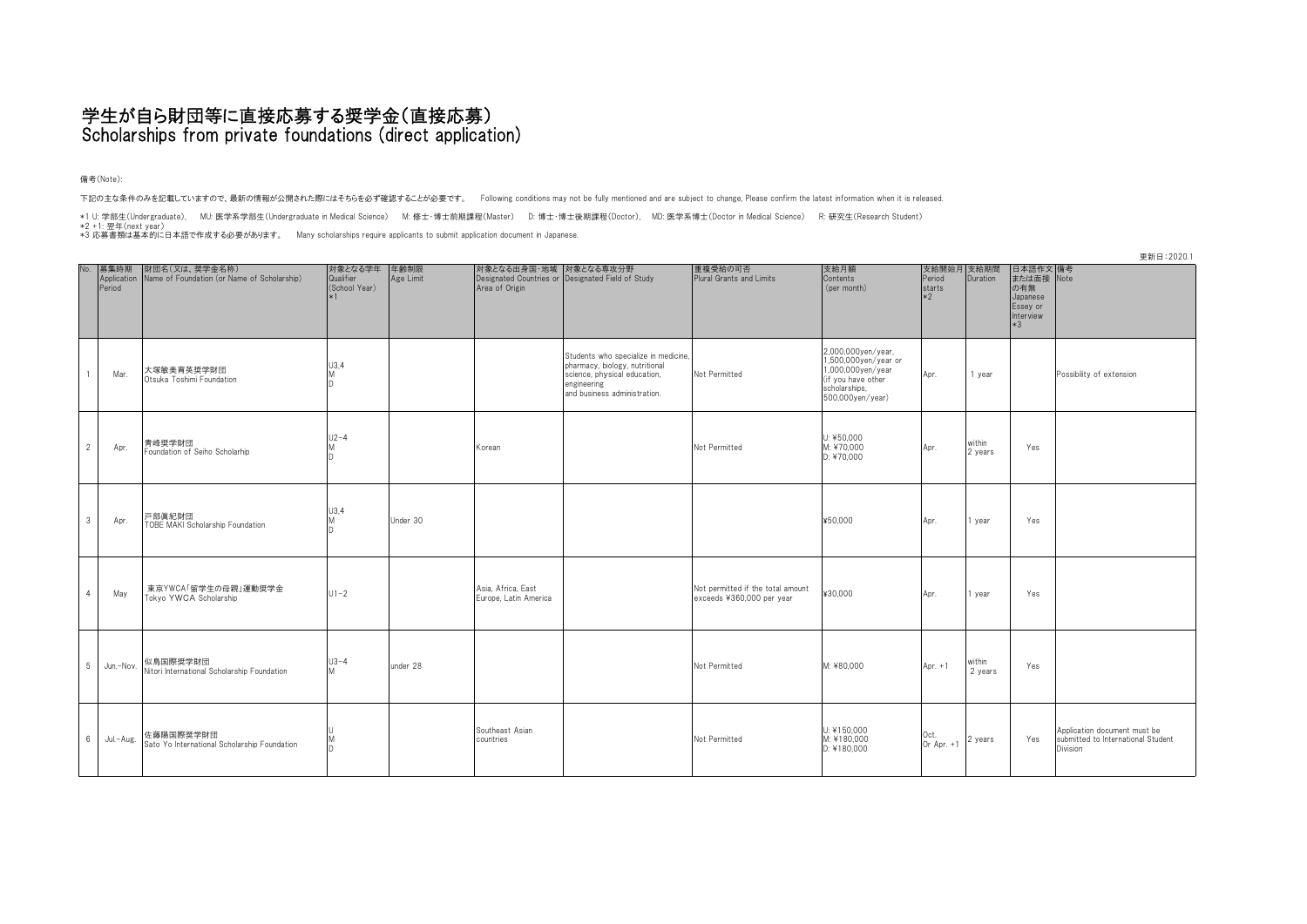## 学生が自ら財団等に直接応募する奨学金(直接応募) Scholarships from private foundations (direct application)

備考(Note):

下記の主な条件のみを記載していますので、最新の情報が公開された際にはそちらを必ず確認することが必要です。 Following conditions may not be fully mentioned and are subject to change, Please confirm the latest information when it is released.

\*1 U: 学部生(Undergraduate), MU: 医学系学部生(Undergraduate in Medical Science) M: 修士・博士前期課程(Master) D: 博士・博士後期課程(Doctor), MD: 医学系博士(Doctor in Medical Science) R: 研究生(Research Student)<br>\*2 +1: 翌年16|next<br>\*3 応募書類は基本的に日本語で作成する必要が

|                | 更新日:2020.1                    |                                                              |                                       |                   |                                             |                                                                                                                                                       |                                                                |                                                                                                                            |                                        |                   |                                                                            |                                                                                |
|----------------|-------------------------------|--------------------------------------------------------------|---------------------------------------|-------------------|---------------------------------------------|-------------------------------------------------------------------------------------------------------------------------------------------------------|----------------------------------------------------------------|----------------------------------------------------------------------------------------------------------------------------|----------------------------------------|-------------------|----------------------------------------------------------------------------|--------------------------------------------------------------------------------|
| No.            | 募集時期<br>Application<br>Period | 財団名(又は、奨学金名称)<br>Name of Foundation (or Name of Scholarship) | 対象となる学年<br>Qualifier<br>(School Year) | 年齢制限<br>Age Limit | Area of Origin                              | 対象となる出身国・地域 対象となる専攻分野<br>Designated Countries or Designated Field of Study                                                                            | 重複受給の可否<br>Plural Grants and Limits                            | 支給月額<br>Contents<br>(per month)                                                                                            | 支給開始月 支給期間<br>Period<br>starts<br>$*2$ | Duration          | 日本語作文 備考<br>または面接 Note<br>の有無<br>Japanese<br>Essey or<br>Interview<br>$*3$ |                                                                                |
|                | Mar.                          | 大塚敏美育英奨学財団<br>Otsuka Toshimi Foundation                      | U3,4<br>M                             |                   |                                             | Students who specialize in medicine,<br>pharmacy, biology, nutritional<br>science, physical education,<br>engineering<br>and business administration. | Not Permitted                                                  | 2,000,000yen/year,<br>1,500,000yen/year or<br>1,000,000yen/year<br>(if you have other<br>scholarships,<br>500,000yen/year) | Apr.                                   | 1 year            |                                                                            | Possibility of extension                                                       |
| $\overline{2}$ | Apr.                          | 青峰奨学財団<br>Foundation of Seiho Scholarhip                     | $U2-4$                                |                   | Korean                                      |                                                                                                                                                       | Not Permitted                                                  | U: ¥50.000<br>M: ¥70.000<br>D: ¥70,000                                                                                     | Apr.                                   | within<br>2 years | Yes                                                                        |                                                                                |
| $\mathbf{3}$   | Apr.                          | 戸部眞紀財団<br>TOBE MAKI Scholarship Foundation                   | U3,4                                  | Under 30          |                                             |                                                                                                                                                       |                                                                | ¥50,000                                                                                                                    | Apr.                                   | 1 year            | Yes                                                                        |                                                                                |
| $\overline{4}$ | May                           | 東京YWCA「留学生の母親」運動奨学金<br>Tokyo YWCA Scholarship                | $U1-2$                                |                   | Asia, Africa, East<br>Europe, Latin America |                                                                                                                                                       | Not permitted if the total amount<br>exceeds ¥360,000 per year | ¥30.000                                                                                                                    | Apr.                                   | 1 year            | Yes                                                                        |                                                                                |
| 5              | Jun.-Nov.                     | 似鳥国際奨学財団<br>Nitori International Scholarship Foundation      | $U3-4$<br>M                           | under 28          |                                             |                                                                                                                                                       | Not Permitted                                                  | M: ¥80.000                                                                                                                 | Apr. $+1$                              | within<br>2 years | Yes                                                                        |                                                                                |
| 6 <sup>1</sup> | Jul.-Aug.                     | 佐藤陽国際奨学財団<br>Sato Yo International Scholarship Foundation    |                                       |                   | Southeast Asian<br>countries                |                                                                                                                                                       | Not Permitted                                                  | U: ¥150,000<br>M: ¥180.000<br>D: ¥180,000                                                                                  | Oct.<br>Or Apr. +1                     | 2 years           | Yes                                                                        | Application document must be<br>submitted to International Student<br>Division |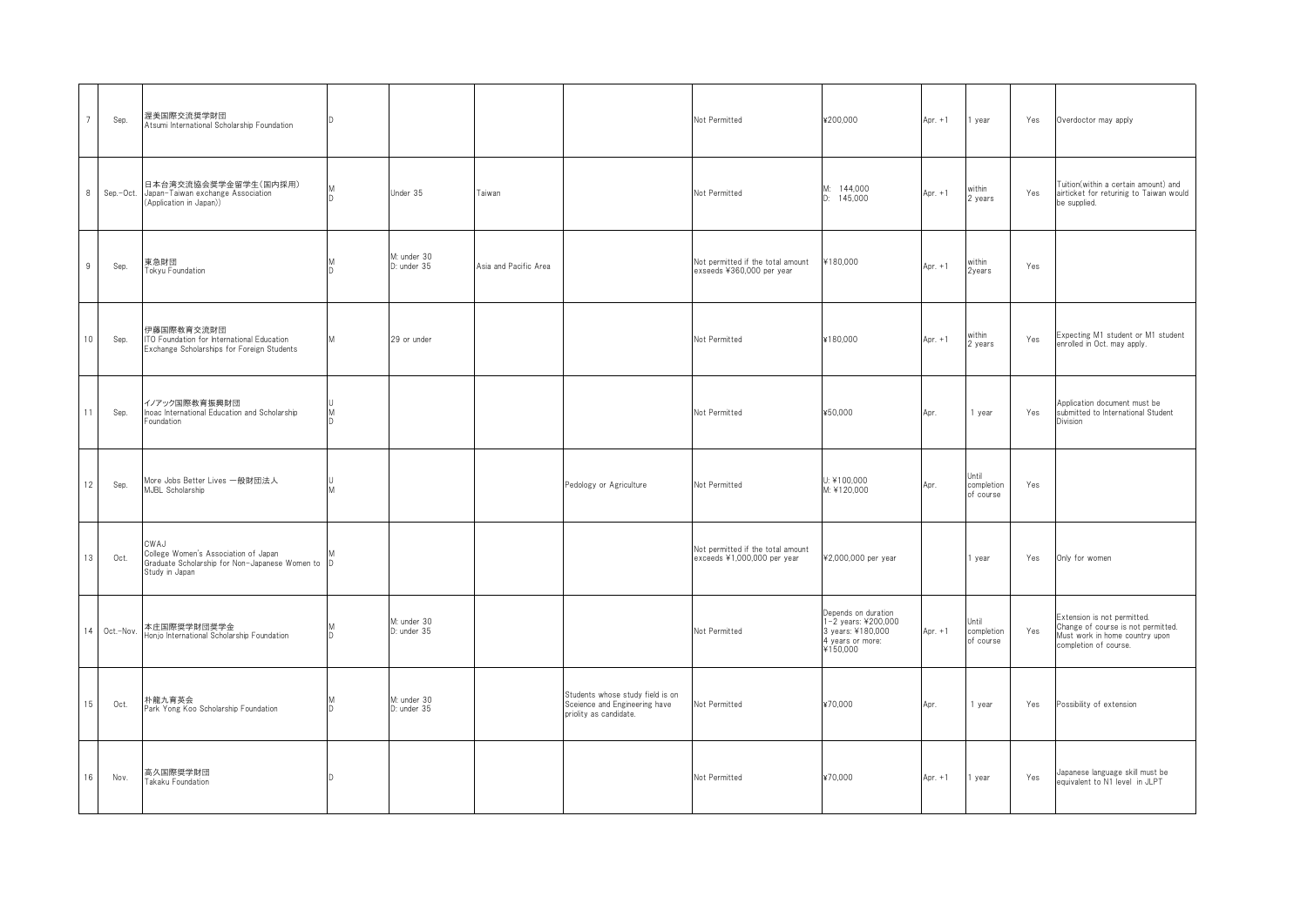| $\overline{7}$  | Sep.      | 渥美国際交流奨学財団<br>Atsumi International Scholarship Foundation                                                          |           |                            |                       |                                                                                             | Not Permitted                                                    | ¥200,000                                                                                        | Apr. $+1$ | 1 year                           | Yes | Overdoctor may apply                                                                                                         |
|-----------------|-----------|--------------------------------------------------------------------------------------------------------------------|-----------|----------------------------|-----------------------|---------------------------------------------------------------------------------------------|------------------------------------------------------------------|-------------------------------------------------------------------------------------------------|-----------|----------------------------------|-----|------------------------------------------------------------------------------------------------------------------------------|
| 8               | Sep.-Oct. | 日本台湾交流協会奨学金留学生(国内採用)<br>Japan-Taiwan exchange Association<br>Application in Japan))                                | <b>In</b> | Under 35                   | Taiwan                |                                                                                             | Not Permitted                                                    | M: 144,000<br>145,000<br>n.                                                                     | Apr. $+1$ | within<br>2 years                | Yes | Tuition(within a certain amount) and<br>airticket for returinig to Taiwan would<br>be supplied.                              |
| 9               | Sep.      | 東急財団<br>Tokyu Foundation                                                                                           |           | M: under 30<br>D: under 35 | Asia and Pacific Area |                                                                                             | Not permitted if the total amount<br>exseeds ¥360,000 per year   | ¥180,000                                                                                        | Apr. $+1$ | within<br>2years                 | Yes |                                                                                                                              |
| $10-10$         | Sep.      | 伊藤国際教育交流財団<br>ITO Foundation for International Education<br>Exchange Scholarships for Foreign Students             | M         | 29 or under                |                       |                                                                                             | Not Permitted                                                    | ¥180.000                                                                                        | Apr. $+1$ | within<br>2 years                | Yes | Expecting M1 student or M1 student<br>enrolled in Oct. may apply.                                                            |
| 11              | Sep.      | イノアック国際教育振興財団<br>Inoac International Education and Scholarship<br>oundation                                        |           |                            |                       |                                                                                             | Not Permitted                                                    | ¥50,000                                                                                         | Apr.      | 1 year                           | Yes | Application document must be<br>submitted to International Student<br>Division                                               |
| 12              | Sep.      | More Jobs Better Lives 一般財団法人<br>MJBL Scholarship                                                                  |           |                            |                       | Pedology or Agriculture                                                                     | Not Permitted                                                    | U: ¥100.000<br>M: ¥120,000                                                                      | Apr.      | Jntil<br>completion<br>of course | Yes |                                                                                                                              |
| 13              | Oct.      | CWAJ<br>College Women's Association of Japan<br>Graduate Scholarship for Non-Japanese Women to D<br>Study in Japan |           |                            |                       |                                                                                             | Not permitted if the total amount<br>exceeds ¥1,000,000 per year | ¥2,000,000 per year                                                                             |           | year                             | Yes | Only for women                                                                                                               |
| 14              | Oct.-Nov. | 本庄国際奨学財団奨学金<br>Honjo International Scholarship Foundation                                                          | ח         | M: under 30<br>D: under 35 |                       |                                                                                             | Not Permitted                                                    | Depends on duration<br>1-2 years: ¥200,000<br>3 years: ¥180,000<br>4 years or more:<br>¥150,000 | Apr. $+1$ | Until<br>completion<br>of course | Yes | Extension is not permitted.<br>Change of course is not permitted.<br>Must work in home country upon<br>completion of course. |
| 15 <sub>1</sub> | Oct.      | 朴龍九育英会<br>Park Yong Koo Scholarship Foundation                                                                     | ID.       | M: under 30<br>D: under 35 |                       | Students whose study field is on<br>Sceience and Engineering have<br>priolity as candidate. | Not Permitted                                                    | ¥70.000                                                                                         | Apr.      | 1 year                           | Yes | Possibility of extension                                                                                                     |
| 16              | Nov.      | 高久国際奨学財団<br>Takaku Foundation                                                                                      | ID.       |                            |                       |                                                                                             | Not Permitted                                                    | ¥70,000                                                                                         | Apr. $+1$ | year                             | Yes | Japanese language skill must be<br>equivalent to N1 level in JLPT                                                            |